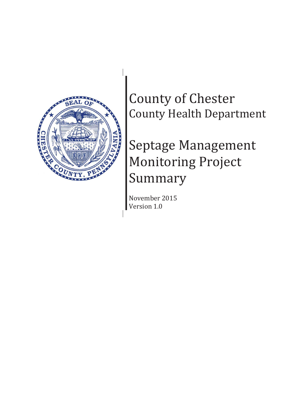

County of Chester County Health Department

# Septage Management Monitoring Project Summary

November 2015 Version 1.0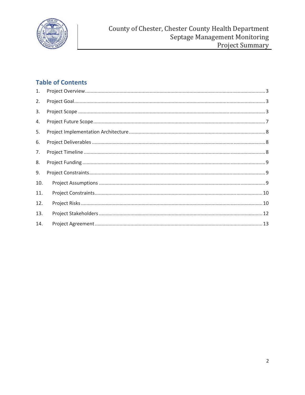

## **Table of Contents**

| 1.  |  |
|-----|--|
| 2.  |  |
| 3.  |  |
| 4.  |  |
| 5.  |  |
| 6.  |  |
| 7.  |  |
| 8.  |  |
| 9.  |  |
| 10. |  |
| 11. |  |
| 12. |  |
| 13. |  |
| 14. |  |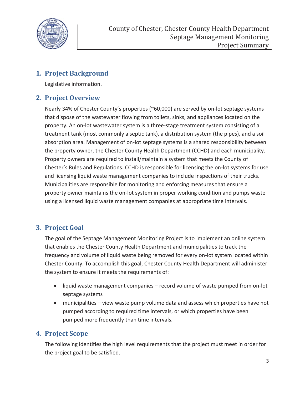

### **1. Project Background**

Legislative information.

#### **2. Project Overview**

Nearly 34% of Chester County's properties (~60,000) are served by on-lot septage systems that dispose of the wastewater flowing from toilets, sinks, and appliances located on the property. An on-lot wastewater system is a three-stage treatment system consisting of a treatment tank (most commonly a septic tank), a distribution system (the pipes), and a soil absorption area. Management of on-lot septage systems is a shared responsibility between the property owner, the Chester County Health Department (CCHD) and each municipality. Property owners are required to install/maintain a system that meets the County of Chester's Rules and Regulations. CCHD is responsible for licensing the on-lot systems for use and licensing liquid waste management companies to include inspections of their trucks. Municipalities are responsible for monitoring and enforcing measures that ensure a property owner maintains the on-lot system in proper working condition and pumps waste using a licensed liquid waste management companies at appropriate time intervals.

## **3. Project Goal**

The goal of the Septage Management Monitoring Project is to implement an online system that enables the Chester County Health Department and municipalities to track the frequency and volume of liquid waste being removed for every on-lot system located within Chester County. To accomplish this goal, Chester County Health Department will administer the system to ensure it meets the requirements of:

- liquid waste management companies record volume of waste pumped from on-lot septage systems
- municipalities view waste pump volume data and assess which properties have not pumped according to required time intervals, or which properties have been pumped more frequently than time intervals.

#### **4. Project Scope**

The following identifies the high level requirements that the project must meet in order for the project goal to be satisfied.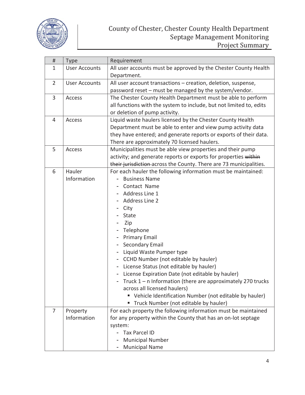

| #              | <b>Type</b>          | Requirement                                                         |  |
|----------------|----------------------|---------------------------------------------------------------------|--|
| 1              | <b>User Accounts</b> | All user accounts must be approved by the Chester County Health     |  |
|                |                      | Department.                                                         |  |
| $\overline{2}$ | <b>User Accounts</b> | All user account transactions - creation, deletion, suspense,       |  |
|                |                      | password reset – must be managed by the system/vendor.              |  |
| $\overline{3}$ | Access               | The Chester County Health Department must be able to perform        |  |
|                |                      | all functions with the system to include, but not limited to, edits |  |
|                |                      | or deletion of pump activity.                                       |  |
| $\overline{4}$ | Access               | Liquid waste haulers licensed by the Chester County Health          |  |
|                |                      | Department must be able to enter and view pump activity data        |  |
|                |                      | they have entered; and generate reports or exports of their data.   |  |
|                |                      | There are approximately 70 licensed haulers.                        |  |
| 5              | Access               | Municipalities must be able view properties and their pump          |  |
|                |                      | activity; and generate reports or exports for properties within     |  |
|                |                      | their jurisdiction across the County. There are 73 municipalities.  |  |
| 6              | Hauler               | For each hauler the following information must be maintained:       |  |
|                | Information          | <b>Business Name</b>                                                |  |
|                |                      | Contact Name                                                        |  |
|                |                      | Address Line 1                                                      |  |
|                |                      | Address Line 2                                                      |  |
|                |                      | City                                                                |  |
|                |                      | <b>State</b>                                                        |  |
|                |                      | Zip                                                                 |  |
|                |                      | Telephone                                                           |  |
|                |                      | <b>Primary Email</b>                                                |  |
|                |                      | <b>Secondary Email</b>                                              |  |
|                |                      | Liquid Waste Pumper type                                            |  |
|                |                      | CCHD Number (not editable by hauler)                                |  |
|                |                      | License Status (not editable by hauler)                             |  |
|                |                      | License Expiration Date (not editable by hauler)                    |  |
|                |                      | Truck $1 - n$ Information (there are approximately 270 trucks       |  |
|                |                      | across all licensed haulers)                                        |  |
|                |                      | " Vehicle Identification Number (not editable by hauler)            |  |
|                |                      | Truck Number (not editable by hauler)                               |  |
| 7              | Property             | For each property the following information must be maintained      |  |
|                | Information          | for any property within the County that has an on-lot septage       |  |
|                |                      | system:                                                             |  |
|                |                      | <b>Tax Parcel ID</b>                                                |  |
|                |                      | <b>Municipal Number</b>                                             |  |
|                |                      | <b>Municipal Name</b>                                               |  |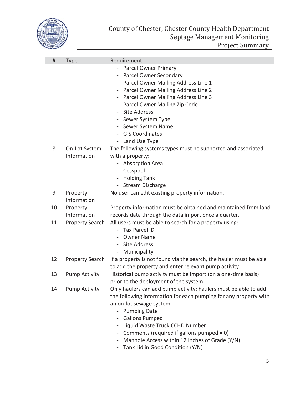

| #  | <b>Type</b>            | Requirement                                                        |  |
|----|------------------------|--------------------------------------------------------------------|--|
|    |                        | - Parcel Owner Primary                                             |  |
|    |                        | Parcel Owner Secondary                                             |  |
|    |                        | Parcel Owner Mailing Address Line 1                                |  |
|    |                        | Parcel Owner Mailing Address Line 2                                |  |
|    |                        | Parcel Owner Mailing Address Line 3                                |  |
|    |                        | Parcel Owner Mailing Zip Code                                      |  |
|    |                        | <b>Site Address</b>                                                |  |
|    |                        | Sewer System Type                                                  |  |
|    |                        | Sewer System Name                                                  |  |
|    |                        | <b>GIS Coordinates</b>                                             |  |
|    |                        | Land Use Type<br>$\overline{\phantom{a}}$                          |  |
| 8  | On-Lot System          | The following systems types must be supported and associated       |  |
|    | Information            | with a property:                                                   |  |
|    |                        | <b>Absorption Area</b>                                             |  |
|    |                        | Cesspool                                                           |  |
|    |                        | <b>Holding Tank</b>                                                |  |
|    |                        | <b>Stream Discharge</b>                                            |  |
| 9  | Property               | No user can edit existing property information.                    |  |
|    | Information            |                                                                    |  |
| 10 | Property               | Property information must be obtained and maintained from land     |  |
|    | Information            | records data through the data import once a quarter.               |  |
| 11 | <b>Property Search</b> | All users must be able to search for a property using:             |  |
|    |                        | <b>Tax Parcel ID</b>                                               |  |
|    |                        | <b>Owner Name</b>                                                  |  |
|    |                        | <b>Site Address</b>                                                |  |
|    |                        | Municipality                                                       |  |
| 12 | <b>Property Search</b> | If a property is not found via the search, the hauler must be able |  |
|    |                        | to add the property and enter relevant pump activity.              |  |
| 13 | <b>Pump Activity</b>   | Historical pump activity must be import (on a one-time basis)      |  |
|    |                        | prior to the deployment of the system.                             |  |
| 14 | <b>Pump Activity</b>   | Only haulers can add pump activity; haulers must be able to add    |  |
|    |                        | the following information for each pumping for any property with   |  |
|    |                        | an on-lot sewage system:                                           |  |
|    |                        | <b>Pumping Date</b>                                                |  |
|    |                        | <b>Gallons Pumped</b>                                              |  |
|    |                        | Liquid Waste Truck CCHD Number                                     |  |
|    |                        | Comments (required if gallons pumped = 0)                          |  |
|    |                        | Manhole Access within 12 Inches of Grade (Y/N)                     |  |
|    |                        | Tank Lid in Good Condition (Y/N)<br>$\overline{\phantom{a}}$       |  |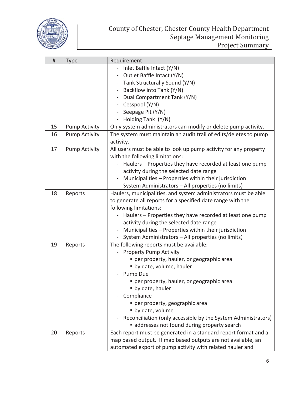

| #  | <b>Type</b>          | Requirement                                                      |  |
|----|----------------------|------------------------------------------------------------------|--|
|    |                      | Inlet Baffle Intact (Y/N)                                        |  |
|    |                      | Outlet Baffle Intact (Y/N)                                       |  |
|    |                      | Tank Structurally Sound (Y/N)                                    |  |
|    |                      | Backflow into Tank (Y/N)                                         |  |
|    |                      | Dual Compartment Tank (Y/N)                                      |  |
|    |                      | Cesspool (Y/N)                                                   |  |
|    |                      | Seepage Pit (Y/N)                                                |  |
|    |                      | Holding Tank (Y/N)                                               |  |
| 15 | <b>Pump Activity</b> | Only system administrators can modify or delete pump activity.   |  |
| 16 | <b>Pump Activity</b> | The system must maintain an audit trail of edits/deletes to pump |  |
|    |                      | activity.                                                        |  |
| 17 | <b>Pump Activity</b> | All users must be able to look up pump activity for any property |  |
|    |                      | with the following limitations:                                  |  |
|    |                      | Haulers - Properties they have recorded at least one pump        |  |
|    |                      | activity during the selected date range                          |  |
|    |                      | Municipalities - Properties within their jurisdiction            |  |
|    |                      | System Administrators - All properties (no limits)               |  |
| 18 | Reports              | Haulers, municipalities, and system administrators must be able  |  |
|    |                      | to generate all reports for a specified date range with the      |  |
|    |                      | following limitations:                                           |  |
|    |                      | Haulers – Properties they have recorded at least one pump        |  |
|    |                      | activity during the selected date range                          |  |
|    |                      | Municipalities - Properties within their jurisdiction            |  |
|    |                      | System Administrators - All properties (no limits)               |  |
| 19 | Reports              | The following reports must be available:                         |  |
|    |                      | <b>Property Pump Activity</b>                                    |  |
|    |                      | per property, hauler, or geographic area                         |  |
|    |                      | " by date, volume, hauler                                        |  |
|    |                      | Pump Due                                                         |  |
|    |                      | per property, hauler, or geographic area                         |  |
|    |                      | • by date, hauler                                                |  |
|    |                      | Compliance                                                       |  |
|    |                      | per property, geographic area                                    |  |
|    |                      | • by date, volume                                                |  |
|    |                      | Reconciliation (only accessible by the System Administrators)    |  |
|    |                      | addresses not found during property search                       |  |
| 20 | Reports              | Each report must be generated in a standard report format and a  |  |
|    |                      | map based output. If map based outputs are not available, an     |  |
|    |                      | automated export of pump activity with related hauler and        |  |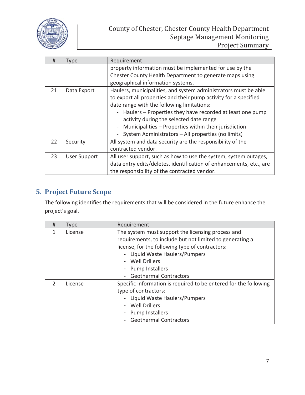

| #  | <b>Type</b>         | Requirement                                                                |  |
|----|---------------------|----------------------------------------------------------------------------|--|
|    |                     | property information must be implemented for use by the                    |  |
|    |                     | Chester County Health Department to generate maps using                    |  |
|    |                     | geographical information systems.                                          |  |
| 21 | Data Export         | Haulers, municipalities, and system administrators must be able            |  |
|    |                     | to export all properties and their pump activity for a specified           |  |
|    |                     | date range with the following limitations:                                 |  |
|    |                     | - Haulers – Properties they have recorded at least one pump                |  |
|    |                     | activity during the selected date range                                    |  |
|    |                     | Municipalities - Properties within their jurisdiction<br>$\qquad \qquad -$ |  |
|    |                     | System Administrators - All properties (no limits)                         |  |
| 22 | Security            | All system and data security are the responsibility of the                 |  |
|    |                     | contracted vendor.                                                         |  |
| 23 | <b>User Support</b> | All user support, such as how to use the system, system outages,           |  |
|    |                     | data entry edits/deletes, identification of enhancements, etc., are        |  |
|    |                     | the responsibility of the contracted vendor.                               |  |

## **5. Project Future Scope**

The following identifies the requirements that will be considered in the future enhance the project's goal.

| #             | <b>Type</b> | Requirement                                                                                                                                                                                                                                                             |  |
|---------------|-------------|-------------------------------------------------------------------------------------------------------------------------------------------------------------------------------------------------------------------------------------------------------------------------|--|
| 1             | License     | The system must support the licensing process and<br>requirements, to include but not limited to generating a<br>license, for the following type of contractors:<br>Liquid Waste Haulers/Pumpers<br>Well Drillers<br>- Pump Installers<br><b>Geothermal Contractors</b> |  |
| $\mathcal{P}$ | License     | Specific information is required to be entered for the following<br>type of contractors:<br>Liquid Waste Haulers/Pumpers<br>Well Drillers<br><b>Pump Installers</b><br><b>Geothermal Contractors</b>                                                                    |  |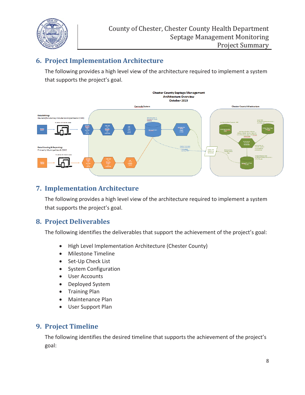

## **6. Project Implementation Architecture**

The following provides a high level view of the architecture required to implement a system that supports the project's goal.



## **7. Implementation Architecture**

The following provides a high level view of the architecture required to implement a system that supports the project's goal.

#### **8. Project Deliverables**

The following identifies the deliverables that support the achievement of the project's goal:

- High Level Implementation Architecture (Chester County)
- Milestone Timeline
- Set-Up Check List
- System Configuration
- User Accounts
- Deployed System
- **Training Plan**
- Maintenance Plan
- User Support Plan

#### **9. Project Timeline**

The following identifies the desired timeline that supports the achievement of the project's goal: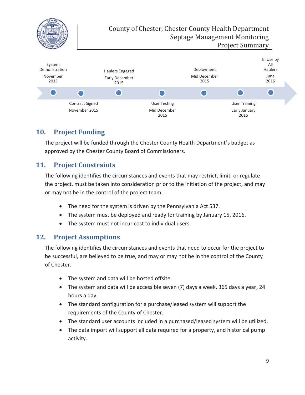

#### **10. Project Funding**

The project will be funded through the Chester County Health Department's budget as approved by the Chester County Board of Commissioners.

## **11. Project Constraints**

The following identifies the circumstances and events that may restrict, limit, or regulate the project, must be taken into consideration prior to the initiation of the project, and may or may not be in the control of the project team.

- The need for the system is driven by the Pennsylvania Act 537.
- The system must be deployed and ready for training by January 15, 2016.
- The system must not incur cost to individual users.

#### **12. Project Assumptions**

The following identifies the circumstances and events that need to occur for the project to be successful, are believed to be true, and may or may not be in the control of the County of Chester.

- The system and data will be hosted offsite.
- x The system and data will be accessible seven (7) days a week, 365 days a year, 24 hours a day.
- The standard configuration for a purchase/leased system will support the requirements of the County of Chester.
- The standard user accounts included in a purchased/leased system will be utilized.
- The data import will support all data required for a property, and historical pump activity.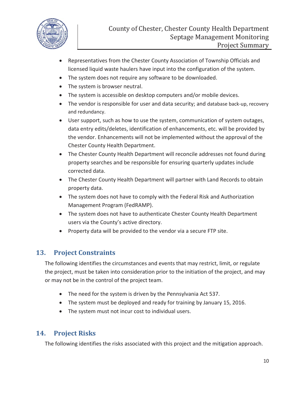

- x Representatives from the Chester County Association of Township Officials and licensed liquid waste haulers have input into the configuration of the system.
- The system does not require any software to be downloaded.
- The system is browser neutral.
- The system is accessible on desktop computers and/or mobile devices.
- The vendor is responsible for user and data security; and database back-up, recovery and redundancy.
- User support, such as how to use the system, communication of system outages, data entry edits/deletes, identification of enhancements, etc. will be provided by the vendor. Enhancements will not be implemented without the approval of the Chester County Health Department.
- The Chester County Health Department will reconcile addresses not found during property searches and be responsible for ensuring quarterly updates include corrected data.
- The Chester County Health Department will partner with Land Records to obtain property data.
- The system does not have to comply with the Federal Risk and Authorization Management Program (FedRAMP).
- The system does not have to authenticate Chester County Health Department users via the County's active directory.
- Property data will be provided to the vendor via a secure FTP site.

#### **13. Project Constraints**

The following identifies the circumstances and events that may restrict, limit, or regulate the project, must be taken into consideration prior to the initiation of the project, and may or may not be in the control of the project team.

- The need for the system is driven by the Pennsylvania Act 537.
- The system must be deployed and ready for training by January 15, 2016.
- The system must not incur cost to individual users.

#### **14. Project Risks**

The following identifies the risks associated with this project and the mitigation approach.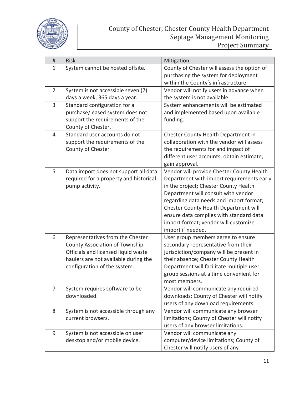

| #              | <b>Risk</b>                                                                     | Mitigation                                                                             |
|----------------|---------------------------------------------------------------------------------|----------------------------------------------------------------------------------------|
| $\mathbf{1}$   | System cannot be hosted offsite.                                                | County of Chester will assess the option of                                            |
|                |                                                                                 | purchasing the system for deployment                                                   |
|                |                                                                                 | within the County's infrastructure.                                                    |
| $\overline{2}$ | System is not accessible seven (7)                                              | Vendor will notify users in advance when                                               |
|                | days a week, 365 days a year.                                                   | the system is not available.                                                           |
| 3              | Standard configuration for a                                                    | System enhancements will be estimated                                                  |
|                | purchase/leased system does not                                                 | and implemented based upon available                                                   |
|                | support the requirements of the                                                 | funding.                                                                               |
|                | County of Chester.                                                              |                                                                                        |
| 4              | Standard user accounts do not                                                   | Chester County Health Department in                                                    |
|                | support the requirements of the                                                 | collaboration with the vendor will assess                                              |
|                | County of Chester                                                               | the requirements for and impact of                                                     |
|                |                                                                                 | different user accounts; obtain estimate;                                              |
| 5              |                                                                                 | gain approval.                                                                         |
|                | Data import does not support all data<br>required for a property and historical | Vendor will provide Chester County Health<br>Department with import requirements early |
|                | pump activity.                                                                  | in the project; Chester County Health                                                  |
|                |                                                                                 | Department will consult with vendor                                                    |
|                |                                                                                 | regarding data needs and import format;                                                |
|                |                                                                                 | Chester County Health Department will                                                  |
|                |                                                                                 | ensure data complies with standard data                                                |
|                |                                                                                 | import format; vendor will customize                                                   |
|                |                                                                                 | import if needed.                                                                      |
| 6              | Representatives from the Chester                                                | User group members agree to ensure                                                     |
|                | <b>County Association of Township</b>                                           | secondary representative from their                                                    |
|                | Officials and licensed liquid waste                                             | jurisdiction/company will be present in                                                |
|                | haulers are not available during the                                            | their absence; Chester County Health                                                   |
|                | configuration of the system.                                                    | Department will facilitate multiple user                                               |
|                |                                                                                 | group sessions at a time convenient for                                                |
|                |                                                                                 | most members.                                                                          |
| $\overline{7}$ | System requires software to be                                                  | Vendor will communicate any required                                                   |
|                | downloaded.                                                                     | downloads; County of Chester will notify                                               |
|                |                                                                                 | users of any download requirements.                                                    |
| 8              | System is not accessible through any                                            | Vendor will communicate any browser                                                    |
|                | current browsers.                                                               | limitations; County of Chester will notify                                             |
|                |                                                                                 | users of any browser limitations.                                                      |
| 9              | System is not accessible on user                                                | Vendor will communicate any                                                            |
|                | desktop and/or mobile device.                                                   | computer/device limitations; County of                                                 |
|                |                                                                                 | Chester will notify users of any                                                       |